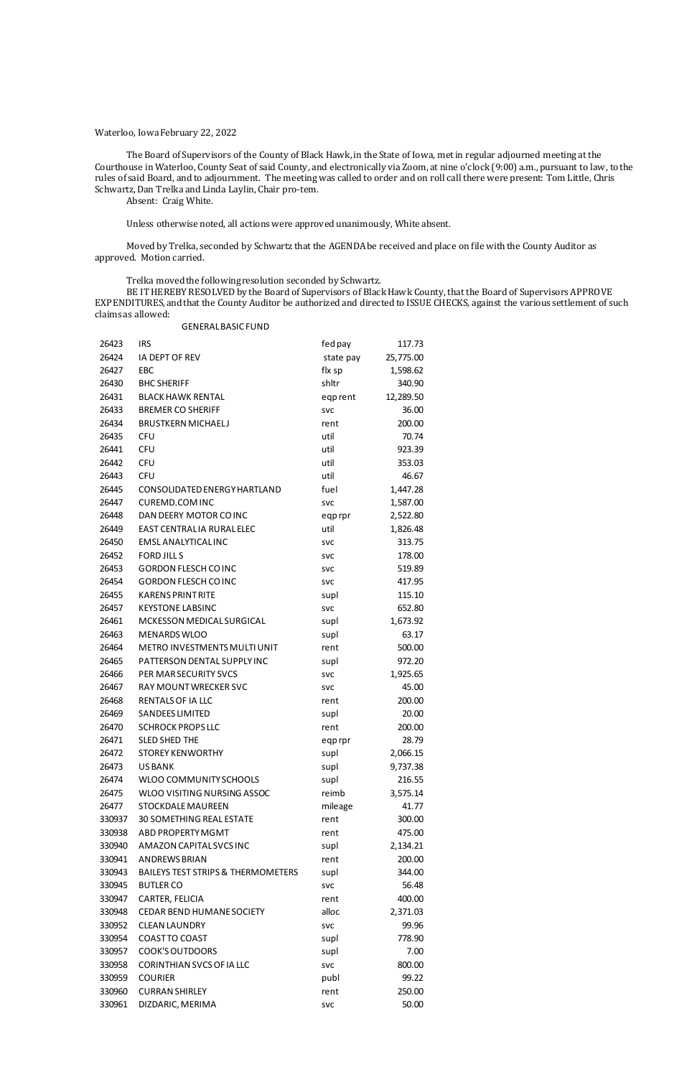## Waterloo, Iowa February 22, 2022

The Board of Supervisors of the County of Black Hawk, in the State of Iowa, met in regular adjourned meeting at the Courthouse in Waterloo, County Seat of said County, and electronically via Zoom, at nine o'clock (9:00) a.m., pursuant to law, to the rules of said Board, and to adjournment. The meeting was called to order and on roll call there were present: Tom Little, Chris Schwartz, Dan Trelka and Linda Laylin, Chair pro-tem.

Absent: Craig White.

Unless otherwise noted, all actions were approved unanimously, White absent.

Moved by Trelka, seconded by Schwartz that the AGENDA be received and place on file with the County Auditor as approved. Motion carried.

Trelka moved the following resolution seconded by Schwartz.

BE IT HEREBY RESOLVED by the Board of Supervisors of Black Hawk County, that the Board of Supervisors APPROVE EXPENDITURES, and that the County Auditor be authorized and directed to ISSUE CHECKS, against the various settlement of such claims as allowed:

|       | <b>GENERAL BASIC FUND</b>    |            |           |
|-------|------------------------------|------------|-----------|
| 26423 | <b>IRS</b>                   | fed pay    | 117.73    |
| 26424 | IA DEPT OF REV               | state pay  | 25,775.00 |
| 26427 | EBC                          | flx sp     | 1,598.62  |
| 26430 | <b>BHC SHERIFF</b>           | shltr      | 340.90    |
| 26431 | <b>BLACK HAWK RENTAL</b>     | eqprent    | 12,289.50 |
| 26433 | <b>BREMER CO SHERIFF</b>     | <b>SVC</b> | 36.00     |
| 26434 | <b>BRUSTKERN MICHAELJ</b>    | rent       | 200.00    |
| 26435 | <b>CFU</b>                   | util       | 70.74     |
| 26441 | <b>CFU</b>                   | util       | 923.39    |
| 26442 | <b>CFU</b>                   | util       | 353.03    |
| 26443 | <b>CFU</b>                   | util       | 46.67     |
| 26445 | CONSOLIDATED ENERGY HARTLAND | fuel       | 1,447.28  |
| 26447 | <b>CUREMD.COM INC</b>        | <b>SVC</b> | 1,587.00  |
| 26448 | DAN DEERY MOTOR CO INC       | eqprpr     | 2,522.80  |
| 26449 | EAST CENTRALIA RURALELEC     | util       | 1,826.48  |
| 26450 | <b>EMSLANALYTICALINC</b>     | <b>SVC</b> | 313.75    |
| 26452 | <b>FORD JILL S</b>           | <b>SVC</b> | 178.00    |
| 26453 | <b>GORDON FLESCH COINC</b>   | <b>SVC</b> | 519.89    |
| 26454 | <b>GORDON FLESCH COINC</b>   | <b>SVC</b> | 417.95    |
| 26455 | <b>KARENS PRINT RITE</b>     | supl       | 115.10    |
| 26457 | <b>KEYSTONE LABSINC</b>      | <b>SVC</b> | 652.80    |
| 26461 | MCKESSON MEDICAL SURGICAL    | supl       | 1,673.92  |
| 26463 | <b>MENARDS WLOO</b>          | supl       | 63.17     |
| 26464 | METRO INVESTMENTS MULTI UNIT | rent       | 500.00    |
| 26465 | PATTERSON DENTAL SUPPLY INC  | supl       | 972.20    |
| 26466 | PER MAR SECURITY SVCS        | <b>SVC</b> | 1,925.65  |
| 26467 | <b>RAY MOUNT WRECKER SVC</b> | <b>SVC</b> | 45.00     |
| 26468 | <b>RENTALS OF IA LLC</b>     | rent       | 200.00    |
| 26469 | <b>SANDEES LIMITED</b>       | supl       | 20.00     |
| 26470 | <b>SCHROCK PROPS LLC</b>     | rent       | 200.00    |
| 26471 | <b>SLED SHED THE</b>         | eqprpr     | 28.79     |
| 26472 | <b>STOREY KENWORTHY</b>      | supl       | 2,066.15  |
| 26473 | <b>USBANK</b>                | supl       | 9,737.38  |
| 26474 | WLOO COMMUNITY SCHOOLS       | supl       | 216.55    |

| 26475  | WLOO VISITING NURSING ASSOC                   | reimb      | 3,575.14 |
|--------|-----------------------------------------------|------------|----------|
| 26477  | <b>STOCKDALE MAUREEN</b>                      | mileage    | 41.77    |
| 330937 | <b>30 SOMETHING REAL ESTATE</b>               | rent       | 300.00   |
| 330938 | ABD PROPERTY MGMT                             | rent       | 475.00   |
| 330940 | AMAZON CAPITAL SVCS INC                       | supl       | 2,134.21 |
| 330941 | <b>ANDREWS BRIAN</b>                          | rent       | 200.00   |
| 330943 | <b>BAILEYS TEST STRIPS &amp; THERMOMETERS</b> | supl       | 344.00   |
| 330945 | <b>BUTLER CO</b>                              | <b>SVC</b> | 56.48    |
| 330947 | CARTER, FELICIA                               | rent       | 400.00   |
| 330948 | <b>CEDAR BEND HUMANE SOCIETY</b>              | alloc      | 2,371.03 |
| 330952 | <b>CLEAN LAUNDRY</b>                          | <b>SVC</b> | 99.96    |
| 330954 | <b>COAST TO COAST</b>                         | supl       | 778.90   |
| 330957 | COOK'S OUTDOORS                               | supl       | 7.00     |
| 330958 | CORINTHIAN SVCS OF IA LLC                     | <b>SVC</b> | 800.00   |
| 330959 | <b>COURIER</b>                                | publ       | 99.22    |
| 330960 | <b>CURRAN SHIRLEY</b>                         | rent       | 250.00   |
| 330961 | DIZDARIC, MERIMA                              | <b>SVC</b> | 50.00    |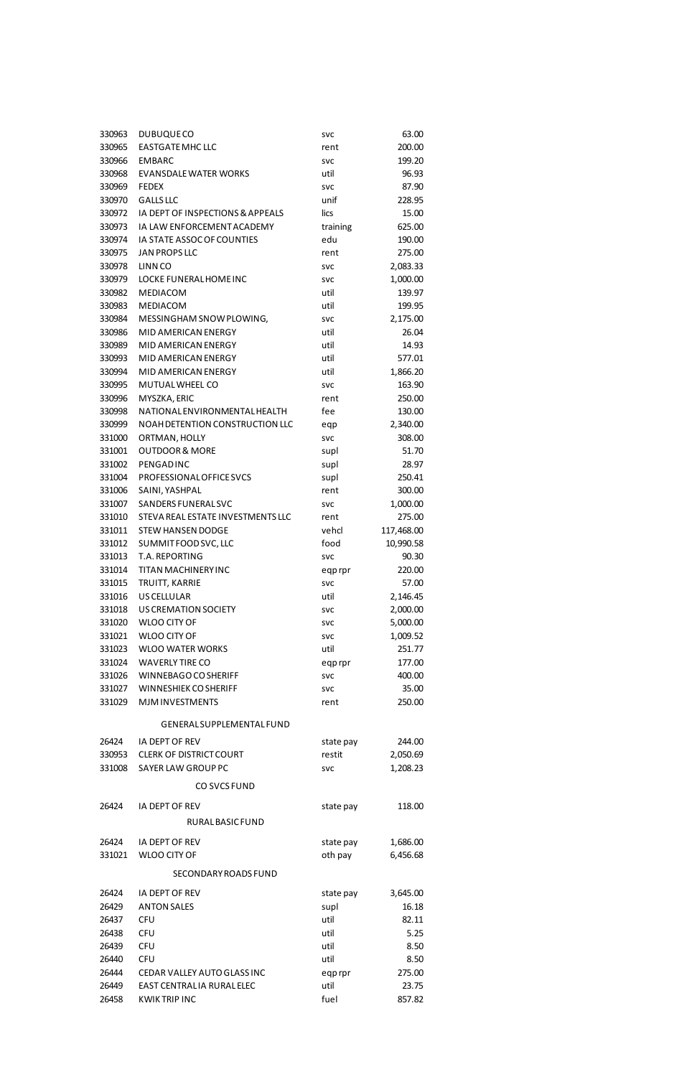| 330963 | <b>DUBUQUECO</b>                  | <b>SVC</b> | 63.00                |
|--------|-----------------------------------|------------|----------------------|
| 330965 | <b>EASTGATE MHC LLC</b>           | rent       | 200.00               |
| 330966 | <b>EMBARC</b>                     | <b>SVC</b> | 199.20               |
| 330968 | <b>EVANSDALE WATER WORKS</b>      | util       | 96.93                |
| 330969 | <b>FEDEX</b>                      | <b>SVC</b> | 87.90                |
| 330970 | <b>GALLS LLC</b>                  | unif       | 228.95               |
| 330972 | IA DEPT OF INSPECTIONS & APPEALS  | lics       | 15.00                |
| 330973 | IA LAW ENFORCEMENT ACADEMY        | training   | 625.00               |
| 330974 | IA STATE ASSOC OF COUNTIES        | edu        | 190.00               |
| 330975 | <b>JAN PROPS LLC</b>              | rent       | 275.00               |
| 330978 | LINN CO                           | <b>SVC</b> | 2,083.33             |
| 330979 | LOCKE FUNERAL HOME INC            | <b>SVC</b> | 1,000.00             |
| 330982 | <b>MEDIACOM</b>                   | util       | 139.97               |
| 330983 | <b>MEDIACOM</b>                   | util       | 199.95               |
| 330984 | MESSINGHAM SNOW PLOWING,          | <b>SVC</b> | 2,175.00             |
| 330986 | MID AMERICAN ENERGY               | util       | 26.04                |
| 330989 | MID AMERICAN ENERGY               | util       | 14.93                |
| 330993 | MID AMERICAN ENERGY               | util       | 577.01               |
| 330994 | MID AMERICAN ENERGY               | util       | 1,866.20             |
| 330995 | MUTUAL WHEEL CO                   | <b>SVC</b> | 163.90               |
| 330996 | MYSZKA, ERIC                      | rent       | 250.00               |
| 330998 | NATIONAL ENVIRONMENTAL HEALTH     | fee        | 130.00               |
| 330999 | NOAH DETENTION CONSTRUCTION LLC   | eqp        | 2,340.00             |
| 331000 | ORTMAN, HOLLY                     | <b>SVC</b> | 308.00               |
| 331001 | <b>OUTDOOR &amp; MORE</b>         | supl       | 51.70                |
| 331002 | <b>PENGADINC</b>                  | supl       | 28.97                |
| 331004 | PROFESSIONAL OF FICE SVCS         | supl       | 250.41               |
| 331006 | SAINI, YASHPAL                    | rent       | 300.00               |
| 331007 | SANDERS FUNERAL SVC               | <b>SVC</b> | 1,000.00             |
| 331010 | STEVA REAL ESTATE INVESTMENTS LLC | rent       | 275.00               |
| 331011 | <b>STEW HANSEN DODGE</b>          | vehcl      | 117,468.00           |
| 331012 | SUMMIT FOOD SVC, LLC              | food       | 10,990.58            |
| 331013 | T.A. REPORTING                    | <b>SVC</b> | 90.30                |
| 331014 | <b>TITAN MACHINERY INC</b>        | eqprpr     | 220.00               |
| 331015 | TRUITT, KARRIE                    | <b>SVC</b> | 57.00                |
| 331016 | <b>US CELLULAR</b>                | util       | 2,146.45             |
| 331018 | <b>US CREMATION SOCIETY</b>       | <b>SVC</b> | 2,000.00             |
| 331020 | <b>WLOO CITY OF</b>               | <b>SVC</b> | 5,000.00             |
| 331021 | <b>WLOO CITY OF</b>               | <b>SVC</b> | 1,009.52             |
| 331023 | <b>WLOO WATER WORKS</b>           | util       | 251.77               |
| 331024 | <b>WAVERLY TIRE CO</b>            | eqprpr     | 177.00               |
| 331026 | WINNEBAGO CO SHERIFF              | <b>SVC</b> | 400.00               |
| 331027 | <b>WINNESHIEK CO SHERIFF</b>      | <b>SVC</b> | 35.00                |
| 331029 | <b>MJM INVESTMENTS</b>            | rent       | 250.00               |
|        | GENERALSUPPLEMENTALFUND           |            |                      |
| 26424  | IA DEPT OF REV                    |            | 244.00               |
| 330953 | <b>CLERK OF DISTRICT COURT</b>    | state pay  |                      |
| 331008 | SAYER LAW GROUP PC                | restit     | 2,050.69<br>1,208.23 |
|        |                                   | <b>SVC</b> |                      |
|        | CO SVCS FUND                      |            |                      |

| 26424  | <b>IA DEPT OF REV</b>       | state pay | 118.00   |
|--------|-----------------------------|-----------|----------|
|        | RURAL BASIC FUND            |           |          |
| 26424  | IA DEPT OF REV              | state pay | 1,686.00 |
| 331021 | WLOO CITY OF                | oth pay   | 6,456.68 |
|        | SECONDARY ROADS FUND        |           |          |
| 26424  | IA DEPT OF REV              | state pay | 3,645.00 |
| 26429  | <b>ANTON SALES</b>          | supl      | 16.18    |
| 26437  | <b>CFU</b>                  | util      | 82.11    |
| 26438  | <b>CFU</b>                  | util      | 5.25     |
| 26439  | <b>CFU</b>                  | util      | 8.50     |
| 26440  | <b>CFU</b>                  | util      | 8.50     |
| 26444  | CEDAR VALLEY AUTO GLASS INC | eqprpr    | 275.00   |
| 26449  | EAST CENTRALIA RURAL ELEC   | util      | 23.75    |
| 26458  | <b>KWIKTRIP INC</b>         | fuel      | 857.82   |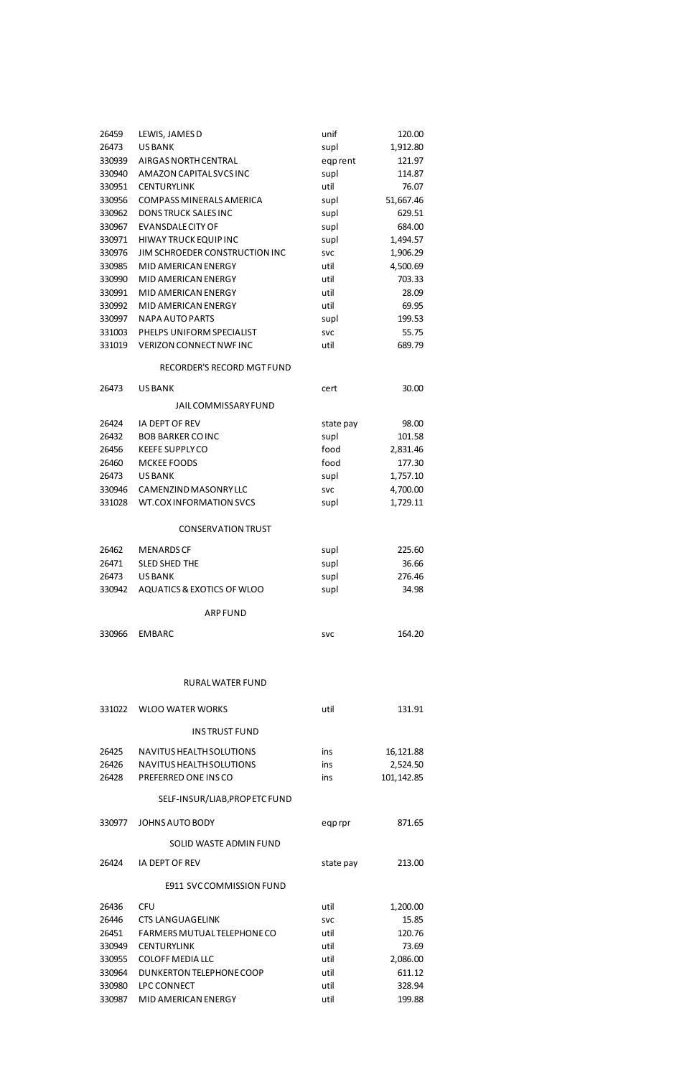| 26459  | LEWIS, JAMES D                        | unif       | 120.00    |
|--------|---------------------------------------|------------|-----------|
| 26473  | <b>USBANK</b>                         | supl       | 1,912.80  |
| 330939 | AIRGAS NORTH CENTRAL                  | eqprent    | 121.97    |
| 330940 | AMAZON CAPITAL SVCS INC               | supl       | 114.87    |
| 330951 | <b>CENTURYLINK</b>                    | util       | 76.07     |
| 330956 | <b>COMPASS MINERALS AMERICA</b>       | supl       | 51,667.46 |
| 330962 | DONS TRUCK SALES INC                  | supl       | 629.51    |
| 330967 | <b>EVANSDALE CITY OF</b>              | supl       | 684.00    |
| 330971 | <b>HIWAY TRUCK EQUIP INC</b>          | supl       | 1,494.57  |
| 330976 | JIM SCHROEDER CONSTRUCTION INC        | <b>SVC</b> | 1,906.29  |
| 330985 | MID AMERICAN ENERGY                   | util       | 4,500.69  |
| 330990 | MID AMERICAN ENERGY                   | util       | 703.33    |
| 330991 | MID AMERICAN ENERGY                   | util       | 28.09     |
| 330992 | MID AMERICAN ENERGY                   | util       | 69.95     |
| 330997 | <b>NAPA AUTO PARTS</b>                | supl       | 199.53    |
| 331003 | PHELPS UNIFORM SPECIALIST             | <b>SVC</b> | 55.75     |
| 331019 | <b>VERIZON CONNECT NWF INC</b>        | util       | 689.79    |
|        | RECORDER'S RECORD MGT FUND            |            |           |
| 26473  | <b>US BANK</b>                        | cert       | 30.00     |
|        | <b>JAILCOMMISSARYFUND</b>             |            |           |
| 26424  | IA DEPT OF REV                        | state pay  | 98.00     |
| 26432  | <b>BOB BARKER COINC</b>               | supl       | 101.58    |
| 26456  | <b>KEEFE SUPPLY CO</b>                | food       | 2,831.46  |
| 26460  | <b>MCKEE FOODS</b>                    | food       | 177.30    |
| 26473  | <b>USBANK</b>                         | supl       | 1,757.10  |
| 330946 | CAMENZIND MASONRY LLC                 | svc        | 4,700.00  |
| 331028 | <b>WT.COXINFORMATION SVCS</b>         | supl       | 1,729.11  |
|        | <b>CONSERVATION TRUST</b>             |            |           |
| 26462  | <b>MENARDS CF</b>                     | supl       | 225.60    |
| 26471  | <b>SLED SHED THE</b>                  | supl       | 36.66     |
| 26473  | <b>US BANK</b>                        | supl       | 276.46    |
| 330942 | <b>AQUATICS &amp; EXOTICS OF WLOO</b> | supl       | 34.98     |
|        | <b>ARP FUND</b>                       |            |           |
|        |                                       |            |           |
| 330966 | <b>EMBARC</b>                         | <b>SVC</b> | 164.20    |
|        |                                       |            |           |
|        | RURAL WATER FUND                      |            |           |
| 331022 | <b>WLOO WATER WORKS</b>               | util       | 131.91    |
|        | <b>INS TRUST FUND</b>                 |            |           |
|        |                                       |            |           |

| 26425 | NAVITUS HEALTH SOLUTIONS | ins. | 16,121.88  |
|-------|--------------------------|------|------------|
| 26426 | NAVITUS HEALTH SOLUTIONS | ins  | 2.524.50   |
| 26428 | PREFERRED ONE INSCO      | ins  | 101.142.85 |

## SELF-INSUR/LIAB,PROP ETC FUND

| 330977 | JOHNS AUTO BODY                 | eqprpr     | 871.65   |
|--------|---------------------------------|------------|----------|
|        | SOLID WASTE ADMIN FUND          |            |          |
| 26424  | IA DEPT OF REV                  | state pay  | 213.00   |
|        | <b>E911 SVCCOMMISSION FUND</b>  |            |          |
| 26436  | <b>CFU</b>                      | util       | 1,200.00 |
| 26446  | <b>CTS LANGUAGELINK</b>         | <b>SVC</b> | 15.85    |
| 26451  | FARMERS MUTUAL TELEPHONE CO     | util       | 120.76   |
| 330949 | <b>CENTURYLINK</b>              | util       | 73.69    |
| 330955 | COLOFF MEDIA LLC                | util       | 2,086.00 |
| 330964 | <b>DUNKERTON TELEPHONE COOP</b> | util       | 611.12   |
| 330980 | LPC CONNECT                     | util       | 328.94   |
| 330987 | MID AMERICAN ENERGY             | util       | 199.88   |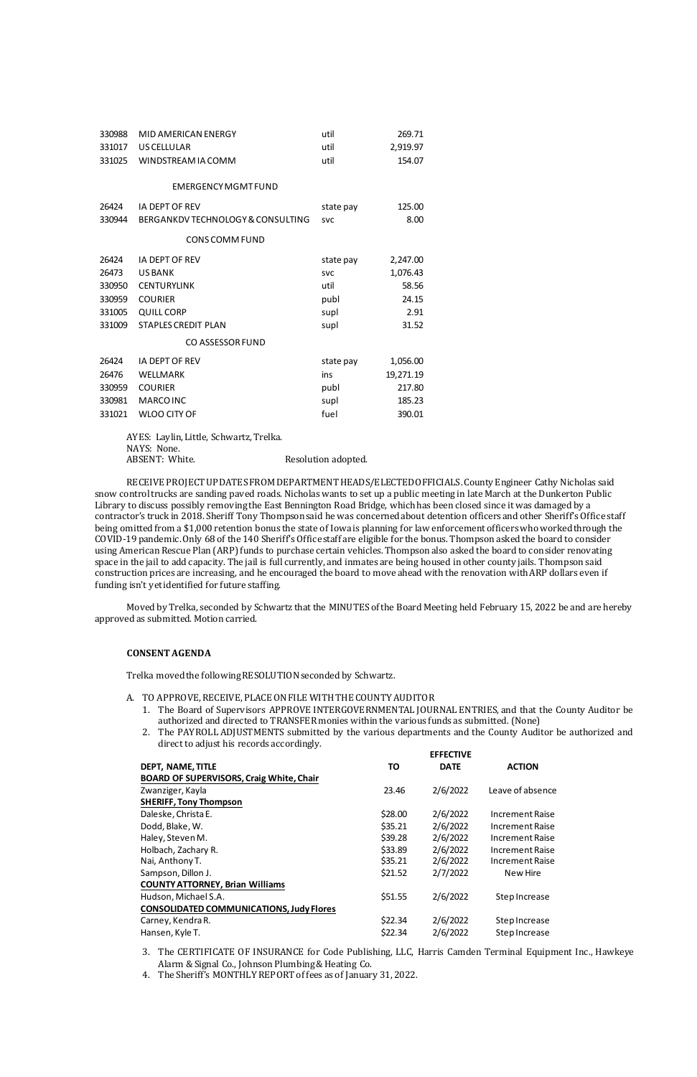| 330988 | MID AMERICAN ENERGY               | util       | 269.71    |
|--------|-----------------------------------|------------|-----------|
| 331017 | US CELLULAR                       | util       | 2,919.97  |
| 331025 | WINDSTREAM IA COMM                | util       | 154.07    |
|        |                                   |            |           |
|        | <b>EMERGENCY MGMT FUND</b>        |            |           |
| 26424  | <b>IA DEPT OF REV</b>             | state pay  | 125.00    |
| 330944 | BERGANKDV TECHNOLOGY & CONSULTING | <b>SVC</b> | 8.00      |
|        | <b>CONS COMM FUND</b>             |            |           |
| 26424  | <b>IA DEPT OF REV</b>             | state pay  | 2,247.00  |
| 26473  | <b>US BANK</b>                    | <b>SVC</b> | 1,076.43  |
| 330950 | <b>CENTURYLINK</b>                | util       | 58.56     |
| 330959 | <b>COURIER</b>                    | publ       | 24.15     |
| 331005 | <b>QUILL CORP</b>                 | supl       | 2.91      |
| 331009 | <b>STAPLES CREDIT PLAN</b>        | supl       | 31.52     |
|        | CO ASSESSOR FUND                  |            |           |
| 26424  | <b>IA DEPT OF REV</b>             | state pay  | 1,056.00  |
| 26476  | WELLMARK                          | ins        | 19,271.19 |
| 330959 | <b>COURIER</b>                    | publ       | 217.80    |
| 330981 | <b>MARCO INC</b>                  | supl       | 185.23    |
| 331021 | <b>WLOO CITY OF</b>               | fuel       | 390.01    |

AYES: Laylin, Little, Schwartz, Trelka. NAYS: None. ABSENT: White. Resolution adopted.

- A. TO APPROVE, RECEIVE, PLACE ON FILE WITH THE COUNTY AUDITOR
	- 1. The Board of Supervisors APPROVE INTERGOVERNMENTAL JOURNAL ENTRIES, and that the County Auditor be authorized and directed to TRANSFER monies within the various funds as submitted. (None)
	- 2. The PAYROLL ADJUSTMENTS submitted by the various departments and the County Auditor be authorized and direct to adjust his records accordingly.

RECEIVE PROJECT UPDATES FROM DEPARTMENT HEADS/ELECTED OFFICIALS. County Engineer Cathy Nicholas said snow control trucks are sanding paved roads. Nicholas wants to set up a public meeting in late March at the Dunkerton Public Library to discuss possibly removing the East Bennington Road Bridge, which has been closed since it was damaged by a contractor's truck in 2018. Sheriff Tony Thompson said he was concerned about detention officers and other Sheriff's Office staff being omitted from a \$1,000 retention bonus the state of Iowa is planning for law enforcement officers who worked through the COVID-19 pandemic. Only 68 of the 140 Sheriff's Office staff are eligible for the bonus. Thompson asked the board to consider using American Rescue Plan (ARP) funds to purchase certain vehicles. Thompson also asked the board to consider renovating space in the jail to add capacity. The jail is full currently, and inmates are being housed in other county jails. Thompson said construction prices are increasing, and he encouraged the board to move ahead with the renovation with ARP dollars even if funding isn't yet identified for future staffing.

Moved by Trelka, seconded by Schwartz that the MINUTES of the Board Meeting held February 15, 2022 be and are hereby approved as submitted. Motion carried.

## **CONSENT AGENDA**

Trelka moved the following RESOLUTION seconded by Schwartz.

|                                                 |         | <b>EFFECTIVE</b> |                  |
|-------------------------------------------------|---------|------------------|------------------|
| <b>DEPT, NAME, TITLE</b>                        | TO      | <b>DATE</b>      | <b>ACTION</b>    |
| <b>BOARD OF SUPERVISORS, Craig White, Chair</b> |         |                  |                  |
| Zwanziger, Kayla                                | 23.46   | 2/6/2022         | Leave of absence |
| <b>SHERIFF, Tony Thompson</b>                   |         |                  |                  |
| Daleske, Christa E.                             | \$28.00 | 2/6/2022         | Increment Raise  |
| Dodd, Blake, W.                                 | \$35.21 | 2/6/2022         | Increment Raise  |
| Haley, Steven M.                                | \$39.28 | 2/6/2022         | Increment Raise  |
| Holbach, Zachary R.                             | \$33.89 | 2/6/2022         | Increment Raise  |
| Nai, Anthony T.                                 | \$35.21 | 2/6/2022         | Increment Raise  |
| Sampson, Dillon J.                              | \$21.52 | 2/7/2022         | New Hire         |
| <b>COUNTY ATTORNEY, Brian Williams</b>          |         |                  |                  |
| Hudson, Michael S.A.                            | \$51.55 | 2/6/2022         | Step Increase    |
| <b>CONSOLIDATED COMMUNICATIONS, Judy Flores</b> |         |                  |                  |
| Carney, Kendra R.                               | \$22.34 | 2/6/2022         | Step Increase    |
| Hansen, Kyle T.                                 | \$22.34 | 2/6/2022         | Step Increase    |

- 3. The CERTIFICATE OF INSURANCE for Code Publishing, LLC, Harris Camden Terminal Equipment Inc., Hawkeye Alarm & Signal Co., Johnson Plumbing & Heating Co.
- 4. The Sheriff's MONTHLY REPORT of fees as of January 31, 2022.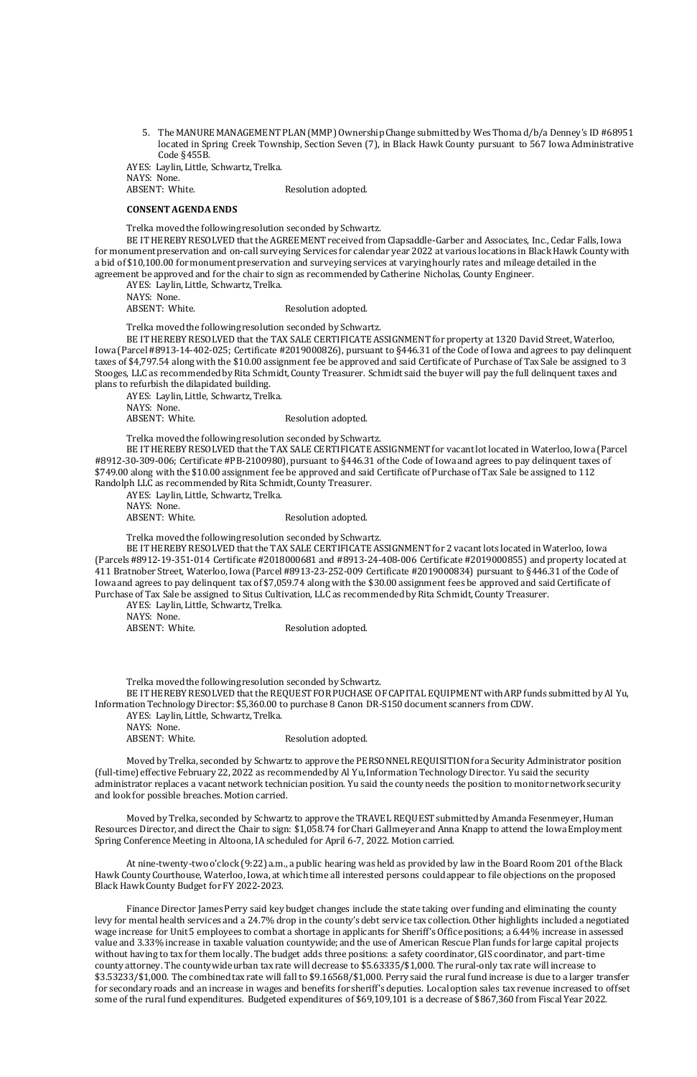5. The MANURE MANAGEMENT PLAN (MMP) Ownership Change submitted by Wes Thoma d/b/a Denney's ID #68951 located in Spring Creek Township, Section Seven (7), in Black Hawk County pursuant to 567 Iowa Administrative Code §455B.

AYES: Laylin, Little, Schwartz, Trelka. NAYS: None. ABSENT: White. Resolution adopted.

## **CONSENT AGENDA ENDS**

Trelka moved the following resolution seconded by Schwartz.

AYES: Laylin, Little, Schwartz, Trelka. NAYS: None. ABSENT: White. Resolution adopted.

BE IT HEREBY RESOLVED that the AGREEMENT received from Clapsaddle-Garber and Associates, Inc., Cedar Falls, Iowa for monument preservation and on-call surveying Services for calendar year 2022 at various locations in Black Hawk County with a bid of \$10,100.00 for monument preservation and surveying services at varying hourly rates and mileage detailed in the agreement be approved and for the chair to sign as recommended by Catherine Nicholas, County Engineer.

AYES: Laylin, Little, Schwartz, Trelka. NAYS: None. ABSENT: White. Resolution adopted.

Trelka moved the following resolution seconded by Schwartz.

AYES: Laylin, Little, Schwartz, Trelka. NAYS: None. ABSENT: White. Resolution adopted.

BE IT HEREBY RESOLVED that the TAX SALE CERTIFICATE ASSIGNMENT for property at 1320 David Street, Waterloo, Iowa (Parcel #8913-14-402-025; Certificate #2019000826), pursuant to §446.31 of the Code of Iowa and agrees to pay delinquent taxes of \$4,797.54 along with the \$10.00 assignment fee be approved and said Certificate of Purchase of Tax Sale be assigned to 3 Stooges, LLC as recommended by Rita Schmidt, County Treasurer. Schmidt said the buyer will pay the full delinquent taxes and plans to refurbish the dilapidated building.

AYES: Laylin, Little, Schwartz, Trelka. NAYS: None. ABSENT: White. Resolution adopted.

AYES: Laylin, Little, Schwartz, Trelka. NAYS: None. ABSENT: White. Resolution adopted.

Trelka moved the following resolution seconded by Schwartz.

BE IT HEREBY RESOLVED that the TAX SALE CERTIFICATE ASSIGNMENT for vacant lot located in Waterloo, Iowa (Parcel #8912-30-309-006; Certificate #PB-2100980), pursuant to §446.31 of the Code of Iowa and agrees to pay delinquent taxes of \$749.00 along with the \$10.00 assignment fee be approved and said Certificate of Purchase of Tax Sale be assigned to 112 Randolph LLC as recommended by Rita Schmidt, County Treasurer.

Trelka moved the following resolution seconded by Schwartz.

BE IT HEREBY RESOLVED that the TAX SALE CERTIFICATE ASSIGNMENT for 2 vacant lots located in Waterloo, Iowa (Parcels #8912-19-351-014 Certificate #2018000681 and #8913-24-408-006 Certificate #2019000855) and property located at 411 Bratnober Street, Waterloo, Iowa (Parcel #8913-23-252-009 Certificate #2019000834) pursuant to §446.31 of the Code of Iowa and agrees to pay delinquent tax of \$7,059.74 along with the \$30.00 assignment fees be approved and said Certificate of Purchase of Tax Sale be assigned to Situs Cultivation, LLC as recommended by Rita Schmidt, County Treasurer.

Trelka moved the following resolution seconded by Schwartz.

BE IT HEREBY RESOLVED that the REQUEST FOR PUCHASE OF CAPITAL EQUIPMENT with ARP funds submitted by Al Yu, Information Technology Director: \$5,360.00 to purchase 8 Canon DR-S150 document scanners from CDW.

Moved by Trelka, seconded by Schwartz to approve the PERSONNEL REQUISITION for a Security Administrator position (full-time) effective February 22, 2022 as recommended by Al Yu, Information Technology Director. Yu said the security administrator replaces a vacant network technician position. Yu said the county needs the position to monitor network security

and look for possible breaches. Motion carried.

Moved by Trelka, seconded by Schwartz to approve the TRAVEL REQUEST submitted by Amanda Fesenmeyer, Human Resources Director, and direct the Chair to sign: \$1,058.74 for Chari Gallmeyer and Anna Knapp to attend the Iowa Employment Spring Conference Meeting in Altoona, IA scheduled for April 6-7, 2022. Motion carried.

At nine-twenty-two o'clock (9:22) a.m., a public hearing was held as provided by law in the Board Room 201 of the Black Hawk County Courthouse, Waterloo, Iowa, at which time all interested persons could appear to file objections on the proposed Black Hawk County Budget for FY 2022-2023.

Finance Director James Perry said key budget changes include the state taking over funding and eliminating the county levy for mental health services and a 24.7% drop in the county's debt service tax collection. Other highlights included a negotiated wage increase for Unit 5 employees to combat a shortage in applicants for Sheriff's Office positions; a 6.44% increase in assessed value and 3.33% increase in taxable valuation countywide; and the use of American Rescue Plan funds for large capital projects without having to tax for them locally. The budget adds three positions: a safety coordinator, GIS coordinator, and part-time county attorney. The countywide urban tax rate will decrease to \$5.63335/\$1,000. The rural-only tax rate will increase to \$3.53233/\$1,000. The combined tax rate will fall to \$9.16568/\$1,000. Perry said the rural fund increase is due to a larger transfer for secondary roads and an increase in wages and benefits for sheriff's deputies. Local option sales tax revenue increased to offset some of the rural fund expenditures. Budgeted expenditures of \$69,109,101 is a decrease of \$867,360 from Fiscal Year 2022.